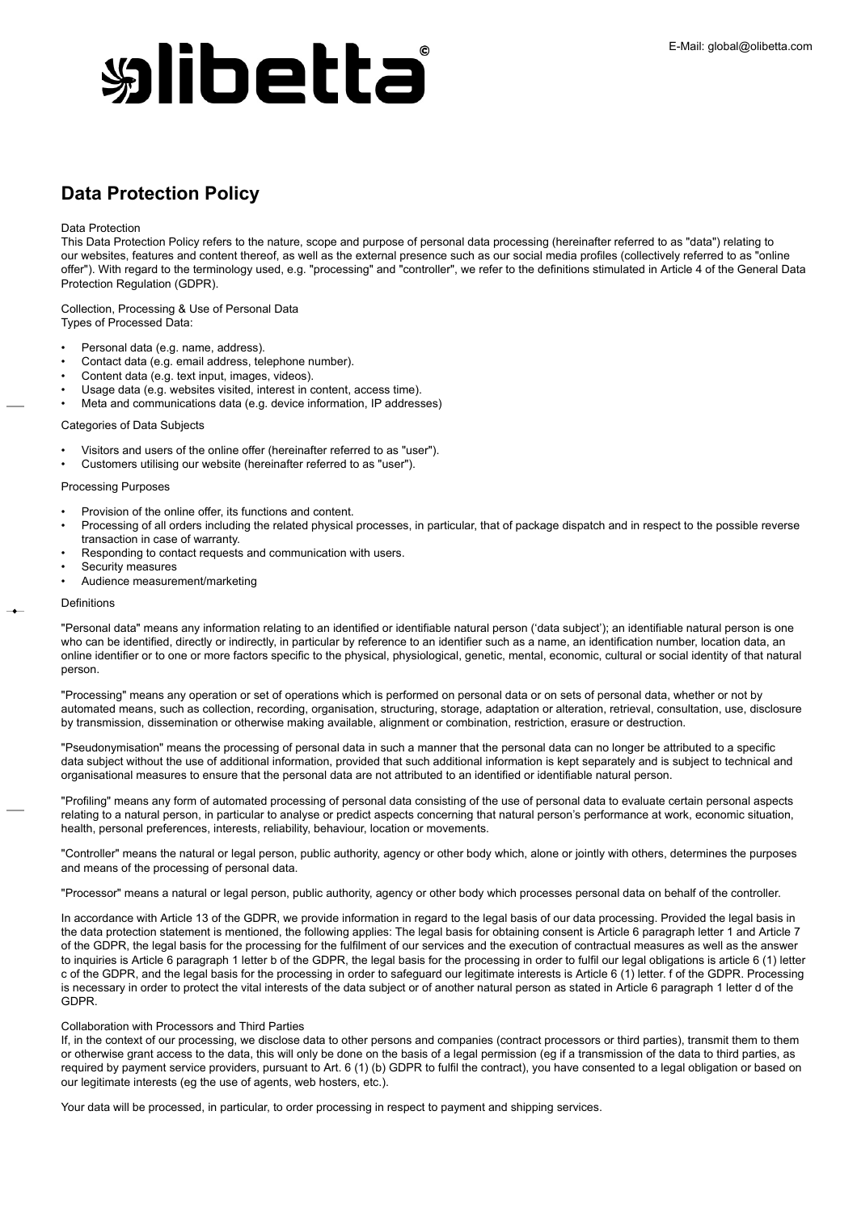### <span id="page-0-0"></span>**Data Protection Policy**

#### Data Protection

This Data Protection Policy refers to the nature, scope and purpose of personal data processing (hereinafter referred to as "data") relating to our websites, features and content thereof, as well as the external presence such as our social media profiles (collectively referred to as "online offer"). With regard to the terminology used, e.g. "processing" and "controller", we refer to the definitions stimulated in Article 4 of the General Data Protection Regulation (GDPR).

Collection, Processing & Use of Personal Data Types of Processed Data:

- Personal data (e.g. name, address).
- Contact data (e.g. email address, telephone number).
- Content data (e.g. text input, images, videos).
- Usage data (e.g. websites visited, interest in content, access time).
- Meta and communications data (e.g. device information, IP addresses)

#### Categories of Data Subjects

- Visitors and users of the online offer (hereinafter referred to as "user").
- Customers utilising our website (hereinafter referred to as "user").

#### Processing Purposes

- Provision of the online offer, its functions and content.
- Processing of all orders including the related physical processes, in particular, that of package dispatch and in respect to the possible reverse transaction in case of warranty.
- Responding to contact requests and communication with users.
- Security measures
- Audience measurement/marketing

#### Definitions

"Personal data" means any information relating to an identified or identifiable natural person ('data subject'); an identifiable natural person is one who can be identified, directly or indirectly, in particular by reference to an identifier such as a name, an identification number, location data, an online identifier or to one or more factors specific to the physical, physiological, genetic, mental, economic, cultural or social identity of that natural person.

"Processing" means any operation or set of operations which is performed on personal data or on sets of personal data, whether or not by automated means, such as collection, recording, organisation, structuring, storage, adaptation or alteration, retrieval, consultation, use, disclosure by transmission, dissemination or otherwise making available, alignment or combination, restriction, erasure or destruction.

"Pseudonymisation" means the processing of personal data in such a manner that the personal data can no longer be attributed to a specific data subject without the use of additional information, provided that such additional information is kept separately and is subject to technical and organisational measures to ensure that the personal data are not attributed to an identified or identifiable natural person.

"Profiling" means any form of automated processing of personal data consisting of the use of personal data to evaluate certain personal aspects relating to a natural person, in particular to analyse or predict aspects concerning that natural person's performance at work, economic situation, health, personal preferences, interests, reliability, behaviour, location or movements.

"Controller" means the natural or legal person, public authority, agency or other body which, alone or jointly with others, determines the purposes and means of the processing of personal data.

"Processor" means a natural or legal person, public authority, agency or other body which processes personal data on behalf of the controller.

In accordance with Article 13 of the GDPR, we provide information in regard to the legal basis of our data processing. Provided the legal basis in the data protection statement is mentioned, the following applies: The legal basis for obtaining consent is Article 6 paragraph letter 1 and Article 7 of the GDPR, the legal basis for the processing for the fulfilment of our services and the execution of contractual measures as well as the answer to inquiries is Article 6 paragraph 1 letter b of the GDPR, the legal basis for the processing in order to fulfil our legal obligations is article 6 (1) letter c of the GDPR, and the legal basis for the processing in order to safeguard our legitimate interests is Article 6 (1) letter. f of the GDPR. Processing is necessary in order to protect the vital interests of the data subject or of another natural person as stated in Article 6 paragraph 1 letter d of the GDPR.

#### Collaboration with Processors and Third Parties

If, in the context of our processing, we disclose data to other persons and companies (contract processors or third parties), transmit them to them or otherwise grant access to the data, this will only be done on the basis of a legal permission (eg if a transmission of the data to third parties, as required by payment service providers, pursuant to Art. 6 (1) (b) GDPR to fulfil the contract), you have consented to a legal obligation or based on our legitimate interests (eg the use of agents, web hosters, etc.).

Your data will be processed, in particular, to order processing in respect to payment and shipping services.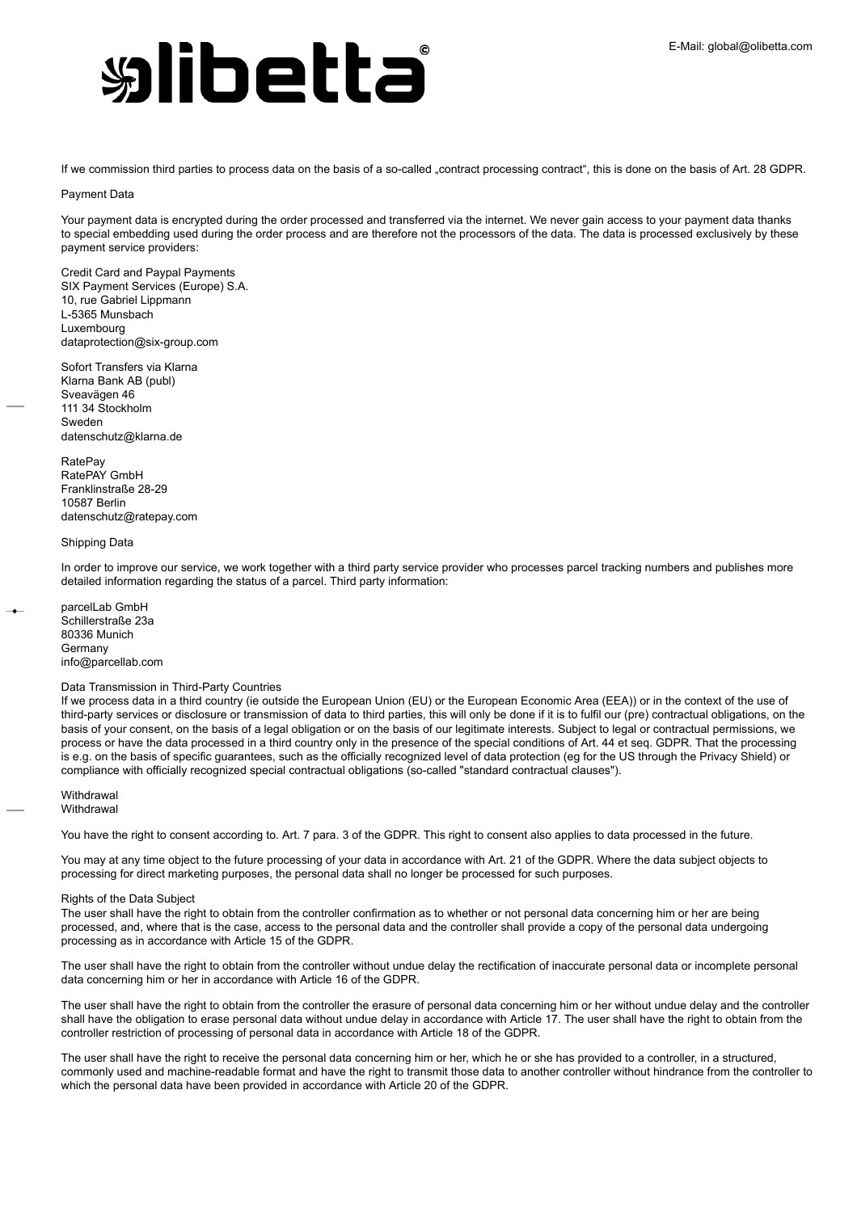If we commission third parties to process data on the basis of a so-called "contract processing contract", this is done on the basis of Art. 28 GDPR.

#### Payment Data

Your payment data is encrypted during the order processed and transferred via the internet. We never gain access to your payment data thanks to special embedding used during the order process and are therefore not the processors of the data. The data is processed exclusively by these payment service providers:

Credit Card and Paypal Payments SIX Payment Services (Europe) S.A. 10, rue Gabriel Lippmann L-5365 Munsbach Luxembourg dataprotection@six-group.com

Sofort Transfers via Klarna Klarna Bank AB (publ) Sveavägen 46 111 34 Stockholm Sweden datenschutz@klarna.de

**RatePay** RatePAY GmbH Franklinstraße 28-29 10587 Berlin datenschutz@ratepay.com

#### Shipping Data

In order to improve our service, we work together with a third party service provider who processes parcel tracking numbers and publishes more detailed information regarding the status of a parcel. Third party information:

parcelLab GmbH Schillerstraße 23a 80336 Munich **Germany** info@parcellab.com

#### Data Transmission in Third-Party Countries

If we process data in a third country (ie outside the European Union (EU) or the European Economic Area (EEA)) or in the context of the use of third-party services or disclosure or transmission of data to third parties, this will only be done if it is to fulfil our (pre) contractual obligations, on the basis of your consent, on the basis of a legal obligation or on the basis of our legitimate interests. Subject to legal or contractual permissions, we process or have the data processed in a third country only in the presence of the special conditions of Art. 44 et seq. GDPR. That the processing is e.g. on the basis of specific guarantees, such as the officially recognized level of data protection (eg for the US through the Privacy Shield) or compliance with officially recognized special contractual obligations (so-called "standard contractual clauses").

**Withdrawal Withdrawal** 

You have the right to consent according to. Art. 7 para. 3 of the GDPR. This right to consent also applies to data processed in the future.

You may at any time object to the future processing of your data in accordance with Art. 21 of the GDPR. Where the data subject objects to processing for direct marketing purposes, the personal data shall no longer be processed for such purposes.

#### Rights of the Data Subject

The user shall have the right to obtain from the controller confirmation as to whether or not personal data concerning him or her are being processed, and, where that is the case, access to the personal data and the controller shall provide a copy of the personal data undergoing processing as in accordance with Article 15 of the GDPR.

The user shall have the right to obtain from the controller without undue delay the rectification of inaccurate personal data or incomplete personal data concerning him or her in accordance with Article 16 of the GDPR.

The user shall have the right to obtain from the controller the erasure of personal data concerning him or her without undue delay and the controller shall have the obligation to erase personal data without undue delay in accordance with Article 17. The user shall have the right to obtain from the controller restriction of processing of personal data in accordance with Article 18 of the GDPR.

The user shall have the right to receive the personal data concerning him or her, which he or she has provided to a controller, in a structured, commonly used and machine-readable format and have the right to transmit those data to another controller without hindrance from the controller to which the personal data have been provided in accordance with Article 20 of the GDPR.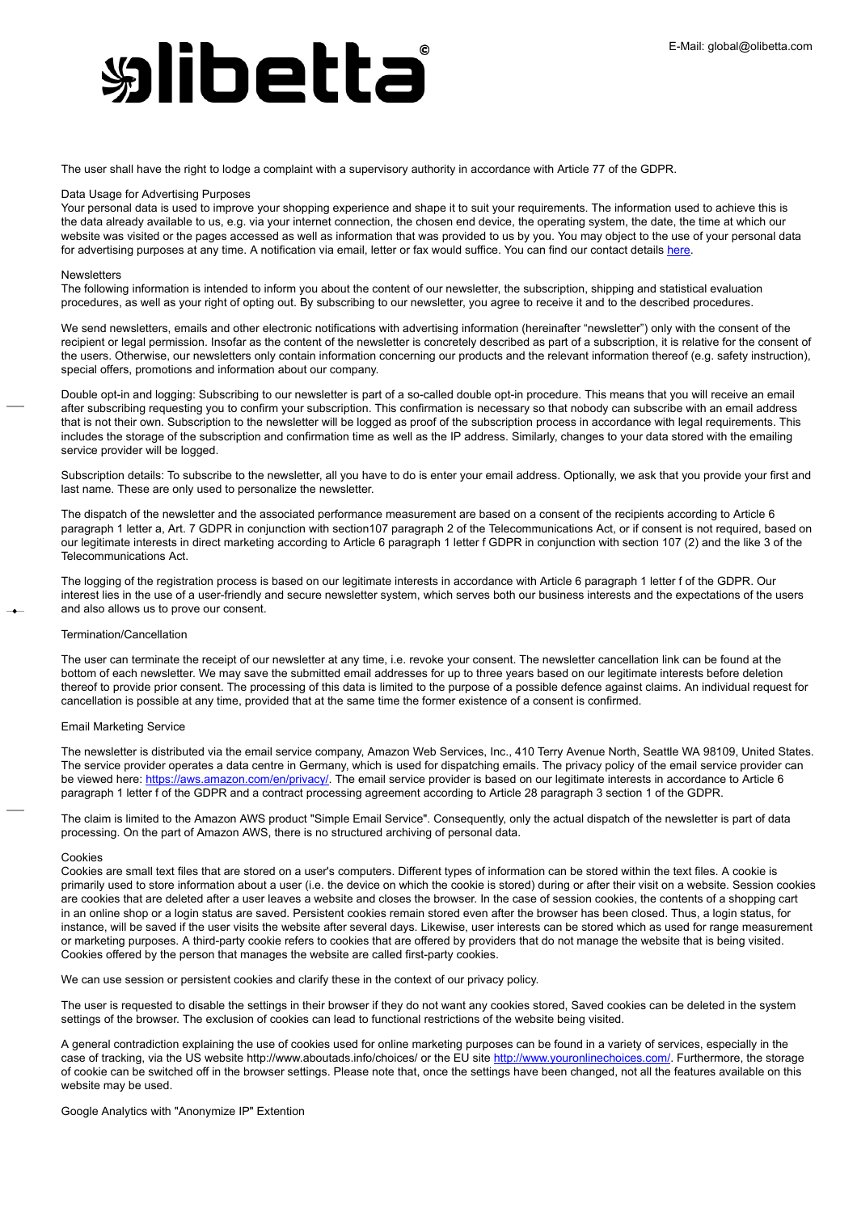The user shall have the right to lodge a complaint with a supervisory authority in accordance with Article 77 of the GDPR.

#### Data Usage for Advertising Purposes

Your personal data is used to improve your shopping experience and shape it to suit your requirements. The information used to achieve this is the data already available to us, e.g. via your internet connection, the chosen end device, the operating system, the date, the time at which our website was visited or the pages accessed as well as information that was provided to us by you. You may object to the use of your personal data for advertising purposes at any time. A notification via email, letter or fax would suffice. You can find our contact details [here](http://https://www.olibetta.de/info/kontakt).

#### Newsletters

The following information is intended to inform you about the content of our newsletter, the subscription, shipping and statistical evaluation procedures, as well as your right of opting out. By subscribing to our newsletter, you agree to receive it and to the described procedures.

We send newsletters, emails and other electronic notifications with advertising information (hereinafter "newsletter") only with the consent of the recipient or legal permission. Insofar as the content of the newsletter is concretely described as part of a subscription, it is relative for the consent of the users. Otherwise, our newsletters only contain information concerning our products and the relevant information thereof (e.g. safety instruction), special offers, promotions and information about our company.

Double opt-in and logging: Subscribing to our newsletter is part of a so-called double opt-in procedure. This means that you will receive an email after subscribing requesting you to confirm your subscription. This confirmation is necessary so that nobody can subscribe with an email address that is not their own. Subscription to the newsletter will be logged as proof of the subscription process in accordance with legal requirements. This includes the storage of the subscription and confirmation time as well as the IP address. Similarly, changes to your data stored with the emailing service provider will be logged.

Subscription details: To subscribe to the newsletter, all you have to do is enter your email address. Optionally, we ask that you provide your first and last name. These are only used to personalize the newsletter.

The dispatch of the newsletter and the associated performance measurement are based on a consent of the recipients according to Article 6 paragraph 1 letter a, Art. 7 GDPR in conjunction with section107 paragraph 2 of the Telecommunications Act, or if consent is not required, based on our legitimate interests in direct marketing according to Article 6 paragraph 1 letter f GDPR in conjunction with section 107 (2) and the like 3 of the Telecommunications Act.

The logging of the registration process is based on our legitimate interests in accordance with Article 6 paragraph 1 letter f of the GDPR. Our interest lies in the use of a user-friendly and secure newsletter system, which serves both our business interests and the expectations of the users and also allows us to prove our consent.

#### Termination/Cancellation

The user can terminate the receipt of our newsletter at any time, i.e. revoke your consent. The newsletter cancellation link can be found at the bottom of each newsletter. We may save the submitted email addresses for up to three years based on our legitimate interests before deletion thereof to provide prior consent. The processing of this data is limited to the purpose of a possible defence against claims. An individual request for cancellation is possible at any time, provided that at the same time the former existence of a consent is confirmed.

#### Email Marketing Service

The newsletter is distributed via the email service company, Amazon Web Services, Inc., 410 Terry Avenue North, Seattle WA 98109, United States. The service provider operates a data centre in Germany, which is used for dispatching emails. The privacy policy of the email service provider can be viewed here: [https://aws.amazon.com/en/privacy/](https://aws.amazon.com/privacy/?nc1=h_ls). The email service provider is based on our legitimate interests in accordance to Article 6 paragraph 1 letter f of the GDPR and a contract processing agreement according to Article 28 paragraph 3 section 1 of the GDPR.

The claim is limited to the Amazon AWS product "Simple Email Service". Consequently, only the actual dispatch of the newsletter is part of data processing. On the part of Amazon AWS, there is no structured archiving of personal data.

#### Cookies

Cookies are small text files that are stored on a user's computers. Different types of information can be stored within the text files. A cookie is primarily used to store information about a user (i.e. the device on which the cookie is stored) during or after their visit on a website. Session cookies are cookies that are deleted after a user leaves a website and closes the browser. In the case of session cookies, the contents of a shopping cart in an online shop or a login status are saved. Persistent cookies remain stored even after the browser has been closed. Thus, a login status, for instance, will be saved if the user visits the website after several days. Likewise, user interests can be stored which as used for range measurement or marketing purposes. A third-party cookie refers to cookies that are offered by providers that do not manage the website that is being visited. Cookies offered by the person that manages the website are called first-party cookies.

We can use session or persistent cookies and clarify these in the context of our privacy policy.

The user is requested to disable the settings in their browser if they do not want any cookies stored, Saved cookies can be deleted in the system settings of the browser. The exclusion of cookies can lead to functional restrictions of the website being visited.

A general contradiction explaining the use of cookies used for online marketing purposes can be found in a variety of services, especially in the case of tracking, via the US website http://www.aboutads.info/choices/ or the EU site [http://www.youronlinechoices.com/](https://www.youronlinechoices.com/). Furthermore, the storage of cookie can be switched off in the browser settings. Please note that, once the settings have been changed, not all the features available on this website may be used.

Google Analytics with "Anonymize IP" Extention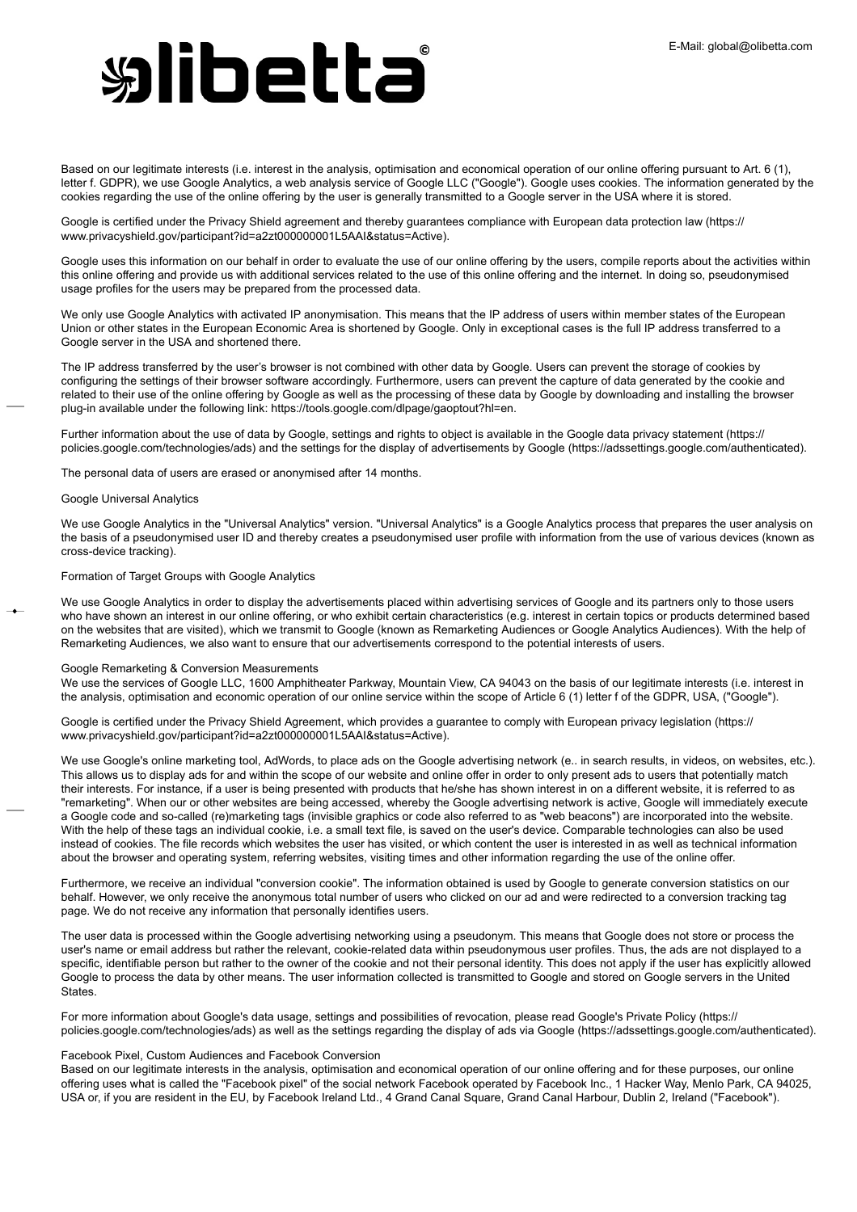Based on our legitimate interests (i.e. interest in the analysis, optimisation and economical operation of our online offering pursuant to Art. 6 (1), letter f. GDPR), we use Google Analytics, a web analysis service of Google LLC ("Google"). Google uses cookies. The information generated by the cookies regarding the use of the online offering by the user is generally transmitted to a Google server in the USA where it is stored.

Google is certified under the Privacy Shield agreement and thereby guarantees compliance with European data protection law (https:// www.privacyshield.gov/participant?id=a2zt000000001L5AAI&status=Active).

Google uses this information on our behalf in order to evaluate the use of our online offering by the users, compile reports about the activities within this online offering and provide us with additional services related to the use of this online offering and the internet. In doing so, pseudonymised usage profiles for the users may be prepared from the processed data.

We only use Google Analytics with activated IP anonymisation. This means that the IP address of users within member states of the European Union or other states in the European Economic Area is shortened by Google. Only in exceptional cases is the full IP address transferred to a Google server in the USA and shortened there.

The IP address transferred by the user's browser is not combined with other data by Google. Users can prevent the storage of cookies by configuring the settings of their browser software accordingly. Furthermore, users can prevent the capture of data generated by the cookie and related to their use of the online offering by Google as well as the processing of these data by Google by downloading and installing the browser plug-in available under the following link: https://tools.google.com/dlpage/gaoptout?hl=en.

Further information about the use of data by Google, settings and rights to object is available in the Google data privacy statement (https:// policies.google.com/technologies/ads) and the settings for the display of advertisements by Google (https://adssettings.google.com/authenticated).

The personal data of users are erased or anonymised after 14 months.

#### Google Universal Analytics

We use Google Analytics in the "Universal Analytics" version. "Universal Analytics" is a Google Analytics process that prepares the user analysis on the basis of a pseudonymised user ID and thereby creates a pseudonymised user profile with information from the use of various devices (known as cross-device tracking).

#### Formation of Target Groups with Google Analytics

We use Google Analytics in order to display the advertisements placed within advertising services of Google and its partners only to those users who have shown an interest in our online offering, or who exhibit certain characteristics (e.g. interest in certain topics or products determined based on the websites that are visited), which we transmit to Google (known as Remarketing Audiences or Google Analytics Audiences). With the help of Remarketing Audiences, we also want to ensure that our advertisements correspond to the potential interests of users.

#### Google Remarketing & Conversion Measurements

We use the services of Google LLC, 1600 Amphitheater Parkway, Mountain View, CA 94043 on the basis of our legitimate interests (i.e. interest in the analysis, optimisation and economic operation of our online service within the scope of Article 6 (1) letter f of the GDPR, USA, ("Google").

Google is certified under the Privacy Shield Agreement, which provides a guarantee to comply with European privacy legislation (https:// www.privacyshield.gov/participant?id=a2zt000000001L5AAI&status=Active).

We use Google's online marketing tool, AdWords, to place ads on the Google advertising network (e.. in search results, in videos, on websites, etc.). This allows us to display ads for and within the scope of our website and online offer in order to only present ads to users that potentially match their interests. For instance, if a user is being presented with products that he/she has shown interest in on a different website, it is referred to as "remarketing". When our or other websites are being accessed, whereby the Google advertising network is active, Google will immediately execute a Google code and so-called (re)marketing tags (invisible graphics or code also referred to as "web beacons") are incorporated into the website. With the help of these tags an individual cookie, i.e. a small text file, is saved on the user's device. Comparable technologies can also be used instead of cookies. The file records which websites the user has visited, or which content the user is interested in as well as technical information about the browser and operating system, referring websites, visiting times and other information regarding the use of the online offer.

Furthermore, we receive an individual "conversion cookie". The information obtained is used by Google to generate conversion statistics on our behalf. However, we only receive the anonymous total number of users who clicked on our ad and were redirected to a conversion tracking tag page. We do not receive any information that personally identifies users.

The user data is processed within the Google advertising networking using a pseudonym. This means that Google does not store or process the user's name or email address but rather the relevant, cookie-related data within pseudonymous user profiles. Thus, the ads are not displayed to a specific, identifiable person but rather to the owner of the cookie and not their personal identity. This does not apply if the user has explicitly allowed Google to process the data by other means. The user information collected is transmitted to Google and stored on Google servers in the United **States** 

For more information about Google's data usage, settings and possibilities of revocation, please read Google's Private Policy (https:// policies.google.com/technologies/ads) as well as the settings regarding the display of ads via Google (https://adssettings.google.com/authenticated).

#### Facebook Pixel, Custom Audiences and Facebook Conversion

Based on our legitimate interests in the analysis, optimisation and economical operation of our online offering and for these purposes, our online offering uses what is called the "Facebook pixel" of the social network Facebook operated by Facebook Inc., 1 Hacker Way, Menlo Park, CA 94025, USA or, if you are resident in the EU, by Facebook Ireland Ltd., 4 Grand Canal Square, Grand Canal Harbour, Dublin 2, Ireland ("Facebook").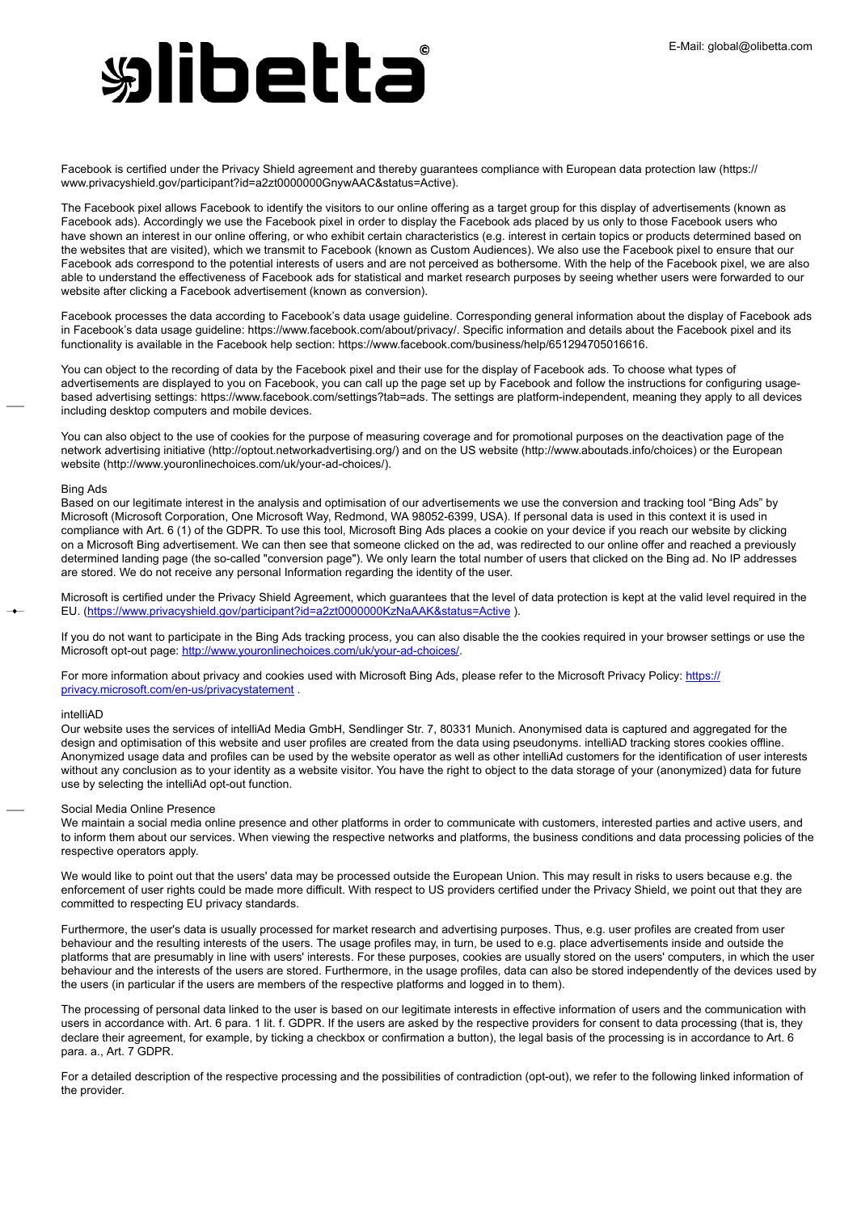Facebook is certified under the Privacy Shield agreement and thereby guarantees compliance with European data protection law (https:// www.privacyshield.gov/participant?id=a2zt0000000GnywAAC&status=Active).

The Facebook pixel allows Facebook to identify the visitors to our online offering as a target group for this display of advertisements (known as Facebook ads). Accordingly we use the Facebook pixel in order to display the Facebook ads placed by us only to those Facebook users who have shown an interest in our online offering, or who exhibit certain characteristics (e.g. interest in certain topics or products determined based on the websites that are visited), which we transmit to Facebook (known as Custom Audiences). We also use the Facebook pixel to ensure that our Facebook ads correspond to the potential interests of users and are not perceived as bothersome. With the help of the Facebook pixel, we are also able to understand the effectiveness of Facebook ads for statistical and market research purposes by seeing whether users were forwarded to our website after clicking a Facebook advertisement (known as conversion).

Facebook processes the data according to Facebook's data usage guideline. Corresponding general information about the display of Facebook ads in Facebook's data usage guideline: https://www.facebook.com/about/privacy/. Specific information and details about the Facebook pixel and its functionality is available in the Facebook help section: https://www.facebook.com/business/help/651294705016616.

You can object to the recording of data by the Facebook pixel and their use for the display of Facebook ads. To choose what types of advertisements are displayed to you on Facebook, you can call up the page set up by Facebook and follow the instructions for configuring usagebased advertising settings: https://www.facebook.com/settings?tab=ads. The settings are platform-independent, meaning they apply to all devices including desktop computers and mobile devices.

You can also object to the use of cookies for the purpose of measuring coverage and for promotional purposes on the deactivation page of the network advertising initiative (http://optout.networkadvertising.org/) and on the US website (http://www.aboutads.info/choices) or the European website (http://www.youronlinechoices.com/uk/your-ad-choices/).

#### Bing Ads

Based on our legitimate interest in the analysis and optimisation of our advertisements we use the conversion and tracking tool "Bing Ads" by Microsoft (Microsoft Corporation, One Microsoft Way, Redmond, WA 98052-6399, USA). If personal data is used in this context it is used in compliance with Art. 6 (1) of the GDPR. To use this tool, Microsoft Bing Ads places a cookie on your device if you reach our website by clicking on a Microsoft Bing advertisement. We can then see that someone clicked on the ad, was redirected to our online offer and reached a previously determined landing page (the so-called "conversion page"). We only learn the total number of users that clicked on the Bing ad. No IP addresses are stored. We do not receive any personal Information regarding the identity of the user.

Microsoft is certified under the Privacy Shield Agreement, which guarantees that the level of data protection is kept at the valid level required in the EU. (<https://www.privacyshield.gov/participant?id=a2zt0000000KzNaAAK&status=Active> ).

If you do not want to participate in the Bing Ads tracking process, you can also disable the the cookies required in your browser settings or use the Microsoft opt-out page: [http://www.youronlinechoices.com/uk/your-ad-choices/.](http://www.youronlinechoices.com/uk/your-ad-choices/)

For more information about privacy and cookies used with Microsoft Bing Ads, please refer to the Microsoft Privacy Policy: [https://](https://privacy.microsoft.com/de-de/privacystatement) [privacy.microsoft.com/en-us/privacystatement](https://privacy.microsoft.com/de-de/privacystatement) .

#### intelliAD

Our website uses the services of intelliAd Media GmbH, Sendlinger Str. 7, 80331 Munich. Anonymised data is captured and aggregated for the design and optimisation of this website and user profiles are created from the data using pseudonyms. intelliAD tracking stores cookies offline. Anonymized usage data and profiles can be used by the website operator as well as other intelliAd customers for the identification of user interests without any conclusion as to your identity as a website visitor. You have the right to object to the data storage of your (anonymized) data for future use by selecting the intelliAd opt-out function.

#### Social Media Online Presence

We maintain a social media online presence and other platforms in order to communicate with customers, interested parties and active users, and to inform them about our services. When viewing the respective networks and platforms, the business conditions and data processing policies of the respective operators apply.

We would like to point out that the users' data may be processed outside the European Union. This may result in risks to users because e.g. the enforcement of user rights could be made more difficult. With respect to US providers certified under the Privacy Shield, we point out that they are committed to respecting EU privacy standards.

Furthermore, the user's data is usually processed for market research and advertising purposes. Thus, e.g. user profiles are created from user behaviour and the resulting interests of the users. The usage profiles may, in turn, be used to e.g. place advertisements inside and outside the platforms that are presumably in line with users' interests. For these purposes, cookies are usually stored on the users' computers, in which the user behaviour and the interests of the users are stored. Furthermore, in the usage profiles, data can also be stored independently of the devices used by the users (in particular if the users are members of the respective platforms and logged in to them).

The processing of personal data linked to the user is based on our legitimate interests in effective information of users and the communication with users in accordance with. Art. 6 para. 1 lit. f. GDPR. If the users are asked by the respective providers for consent to data processing (that is, they declare their agreement, for example, by ticking a checkbox or confirmation a button), the legal basis of the processing is in accordance to Art. 6 para. a., Art. 7 GDPR.

For a detailed description of the respective processing and the possibilities of contradiction (opt-out), we refer to the following linked information of the provider.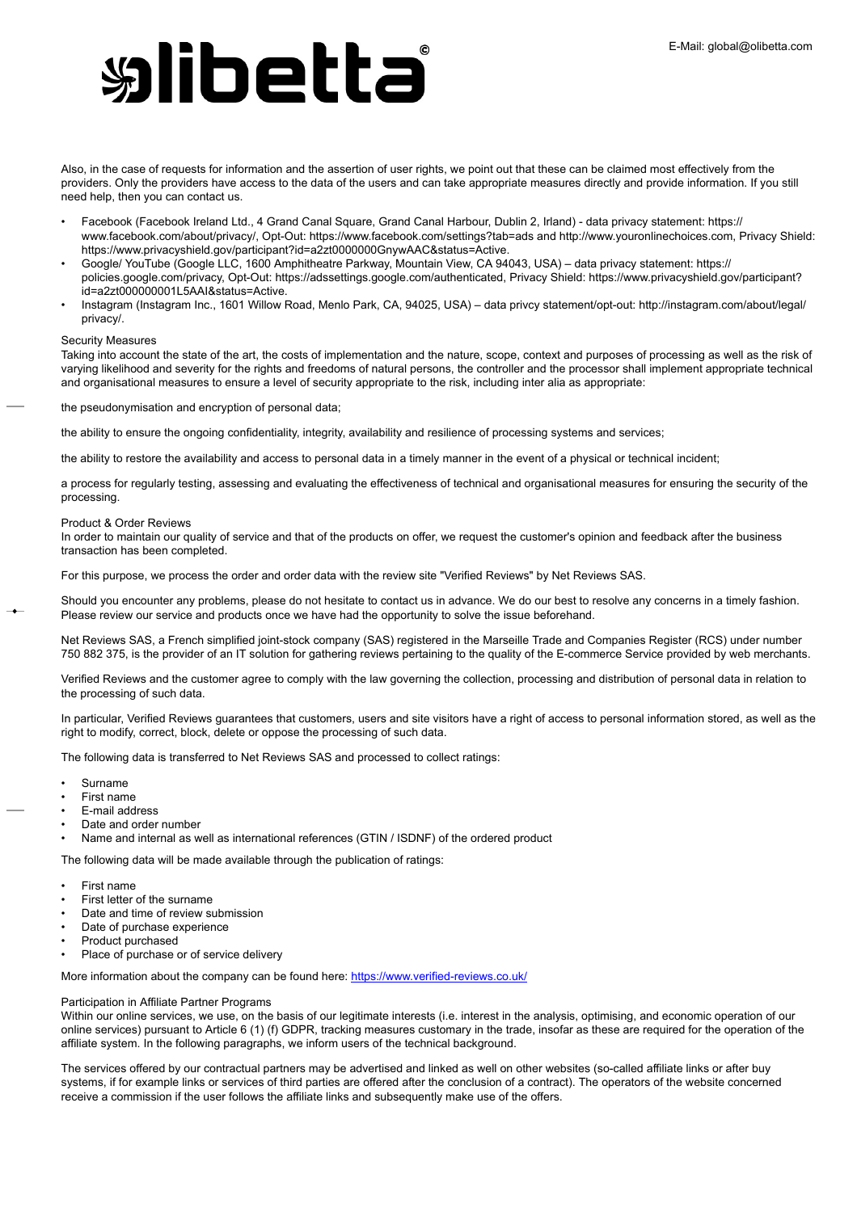### libetta  $\mathbb{S}$

Also, in the case of requests for information and the assertion of user rights, we point out that these can be claimed most effectively from the providers. Only the providers have access to the data of the users and can take appropriate measures directly and provide information. If you still need help, then you can contact us.

- Facebook (Facebook Ireland Ltd., 4 Grand Canal Square, Grand Canal Harbour, Dublin 2, Irland) data privacy statement: https:// www.facebook.com/about/privacy/, Opt-Out: https://www.facebook.com/settings?tab=ads and http://www.youronlinechoices.com, Privacy Shield: https://www.privacyshield.gov/participant?id=a2zt0000000GnywAAC&status=Active.
- Google/ YouTube (Google LLC, 1600 Amphitheatre Parkway, Mountain View, CA 94043, USA) data privacy statement: https:// policies.google.com/privacy, Opt-Out: https://adssettings.google.com/authenticated, Privacy Shield: https://www.privacyshield.gov/participant? id=a2zt000000001L5AAI&status=Active.
- Instagram (Instagram Inc., 1601 Willow Road, Menlo Park, CA, 94025, USA) data privcy statement/opt-out: http://instagram.com/about/legal/ privacy/.

#### Security Measures

Taking into account the state of the art, the costs of implementation and the nature, scope, context and purposes of processing as well as the risk of varying likelihood and severity for the rights and freedoms of natural persons, the controller and the processor shall implement appropriate technical and organisational measures to ensure a level of security appropriate to the risk, including inter alia as appropriate:

the pseudonymisation and encryption of personal data;

the ability to ensure the ongoing confidentiality, integrity, availability and resilience of processing systems and services;

the ability to restore the availability and access to personal data in a timely manner in the event of a physical or technical incident;

a process for regularly testing, assessing and evaluating the effectiveness of technical and organisational measures for ensuring the security of the processing.

#### Product & Order Reviews

In order to maintain our quality of service and that of the products on offer, we request the customer's opinion and feedback after the business transaction has been completed.

For this purpose, we process the order and order data with the review site "Verified Reviews" by Net Reviews SAS.

Should you encounter any problems, please do not hesitate to contact us in advance. We do our best to resolve any concerns in a timely fashion. Please review our service and products once we have had the opportunity to solve the issue beforehand.

Net Reviews SAS, a French simplified joint-stock company (SAS) registered in the Marseille Trade and Companies Register (RCS) under number 750 882 375, is the provider of an IT solution for gathering reviews pertaining to the quality of the E-commerce Service provided by web merchants.

Verified Reviews and the customer agree to comply with the law governing the collection, processing and distribution of personal data in relation to the processing of such data.

In particular, Verified Reviews guarantees that customers, users and site visitors have a right of access to personal information stored, as well as the right to modify, correct, block, delete or oppose the processing of such data.

The following data is transferred to Net Reviews SAS and processed to collect ratings:

- Surname
- First name
- E-mail address
- Date and order number
- Name and internal as well as international references (GTIN / ISDNF) of the ordered product

The following data will be made available through the publication of ratings:

- First name
- First letter of the surname
- Date and time of review submission
- Date of purchase experience
- Product purchased
- Place of purchase or of service delivery

More information about the company can be found here: <https://www.verified-reviews.co.uk/>

#### Participation in Affiliate Partner Programs

Within our online services, we use, on the basis of our legitimate interests (i.e. interest in the analysis, optimising, and economic operation of our online services) pursuant to Article 6 (1) (f) GDPR, tracking measures customary in the trade, insofar as these are required for the operation of the affiliate system. In the following paragraphs, we inform users of the technical background.

The services offered by our contractual partners may be advertised and linked as well on other websites (so-called affiliate links or after buy systems, if for example links or services of third parties are offered after the conclusion of a contract). The operators of the website concerned receive a commission if the user follows the affiliate links and subsequently make use of the offers.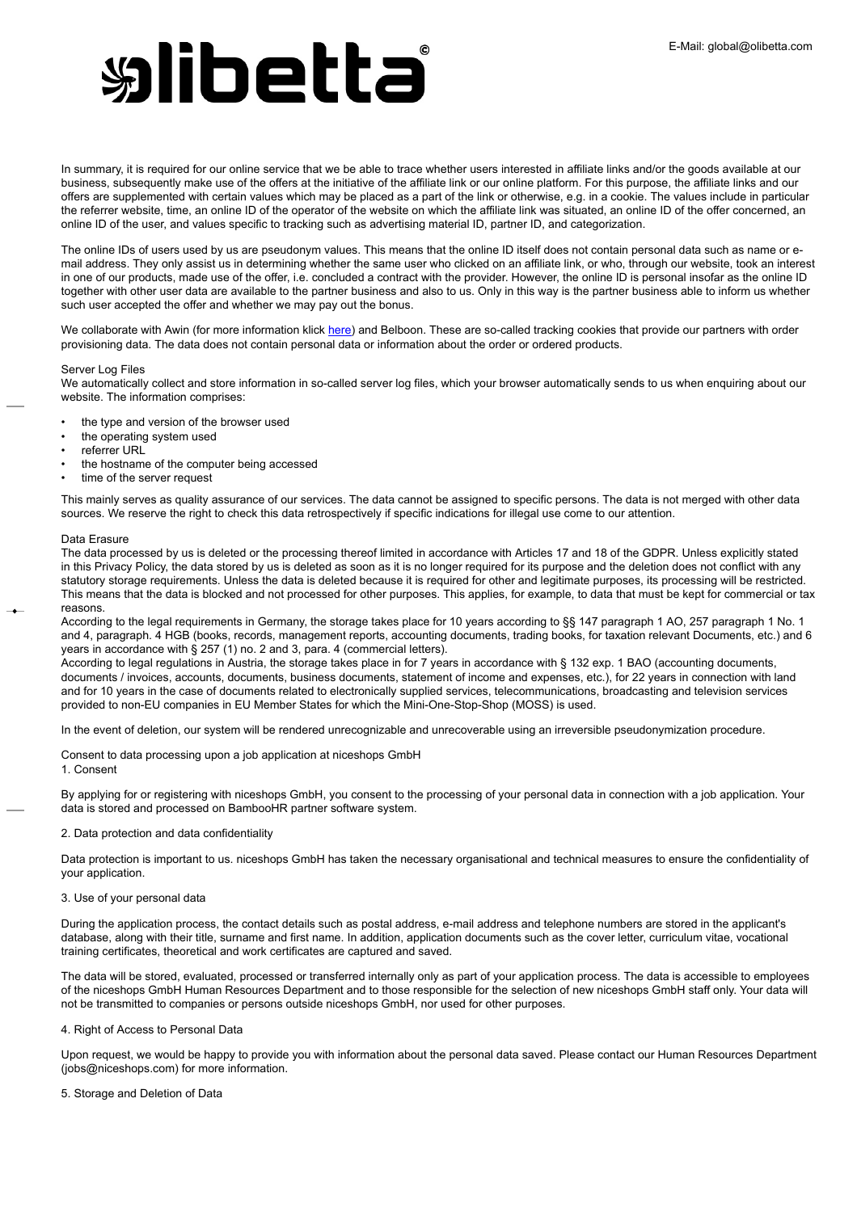### libetta  $\mathbb{S}$

In summary, it is required for our online service that we be able to trace whether users interested in affiliate links and/or the goods available at our business, subsequently make use of the offers at the initiative of the affiliate link or our online platform. For this purpose, the affiliate links and our offers are supplemented with certain values which may be placed as a part of the link or otherwise, e.g. in a cookie. The values include in particular the referrer website, time, an online ID of the operator of the website on which the affiliate link was situated, an online ID of the offer concerned, an online ID of the user, and values specific to tracking such as advertising material ID, partner ID, and categorization.

The online IDs of users used by us are pseudonym values. This means that the online ID itself does not contain personal data such as name or email address. They only assist us in determining whether the same user who clicked on an affiliate link, or who, through our website, took an interest in one of our products, made use of the offer, i.e. concluded a contract with the provider. However, the online ID is personal insofar as the online ID together with other user data are available to the partner business and also to us. Only in this way is the partner business able to inform us whether such user accepted the offer and whether we may pay out the bonus.

We collaborate with Awin (for more information klick [here\)](#page-0-0) and Belboon. These are so-called tracking cookies that provide our partners with order provisioning data. The data does not contain personal data or information about the order or ordered products.

#### Server Log Files

We automatically collect and store information in so-called server log files, which your browser automatically sends to us when enquiring about our website. The information comprises:

- the type and version of the browser used
- the operating system used
- referrer URL
- the hostname of the computer being accessed
- time of the server request

This mainly serves as quality assurance of our services. The data cannot be assigned to specific persons. The data is not merged with other data sources. We reserve the right to check this data retrospectively if specific indications for illegal use come to our attention.

#### Data Erasure

The data processed by us is deleted or the processing thereof limited in accordance with Articles 17 and 18 of the GDPR. Unless explicitly stated in this Privacy Policy, the data stored by us is deleted as soon as it is no longer required for its purpose and the deletion does not conflict with any statutory storage requirements. Unless the data is deleted because it is required for other and legitimate purposes, its processing will be restricted. This means that the data is blocked and not processed for other purposes. This applies, for example, to data that must be kept for commercial or tax reasons.

According to the legal requirements in Germany, the storage takes place for 10 years according to §§ 147 paragraph 1 AO, 257 paragraph 1 No. 1 and 4, paragraph. 4 HGB (books, records, management reports, accounting documents, trading books, for taxation relevant Documents, etc.) and 6 years in accordance with § 257 (1) no. 2 and 3, para. 4 (commercial letters).

According to legal regulations in Austria, the storage takes place in for 7 years in accordance with § 132 exp. 1 BAO (accounting documents, documents / invoices, accounts, documents, business documents, statement of income and expenses, etc.), for 22 years in connection with land and for 10 years in the case of documents related to electronically supplied services, telecommunications, broadcasting and television services provided to non-EU companies in EU Member States for which the Mini-One-Stop-Shop (MOSS) is used.

In the event of deletion, our system will be rendered unrecognizable and unrecoverable using an irreversible pseudonymization procedure.

Consent to data processing upon a job application at niceshops GmbH

1. Consent

By applying for or registering with niceshops GmbH, you consent to the processing of your personal data in connection with a job application. Your data is stored and processed on BambooHR partner software system.

#### 2. Data protection and data confidentiality

Data protection is important to us. niceshops GmbH has taken the necessary organisational and technical measures to ensure the confidentiality of your application.

#### 3. Use of your personal data

During the application process, the contact details such as postal address, e-mail address and telephone numbers are stored in the applicant's database, along with their title, surname and first name. In addition, application documents such as the cover letter, curriculum vitae, vocational training certificates, theoretical and work certificates are captured and saved.

The data will be stored, evaluated, processed or transferred internally only as part of your application process. The data is accessible to employees of the niceshops GmbH Human Resources Department and to those responsible for the selection of new niceshops GmbH staff only. Your data will not be transmitted to companies or persons outside niceshops GmbH, nor used for other purposes.

#### 4. Right of Access to Personal Data

Upon request, we would be happy to provide you with information about the personal data saved. Please contact our Human Resources Department (jobs@niceshops.com) for more information.

#### 5. Storage and Deletion of Data